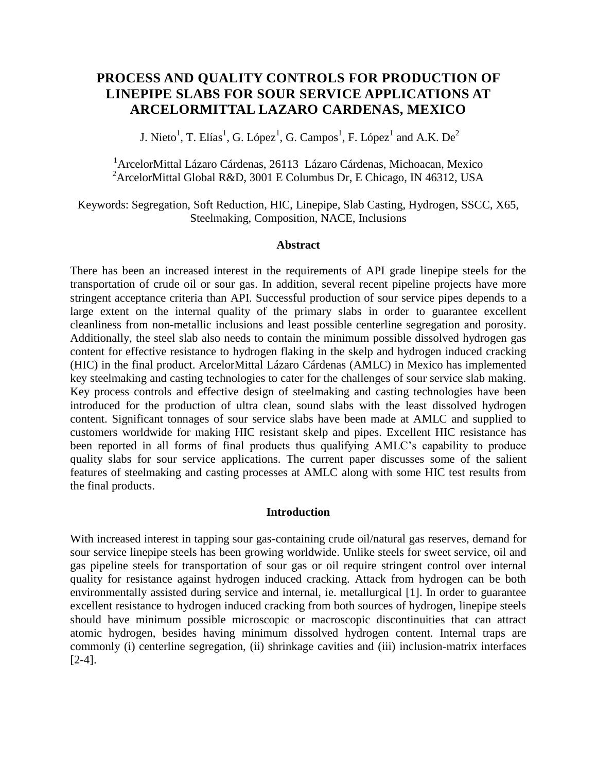# **PROCESS AND QUALITY CONTROLS FOR PRODUCTION OF LINEPIPE SLABS FOR SOUR SERVICE APPLICATIONS AT ARCELORMITTAL LAZARO CARDENAS, MEXICO**

J. Nieto<sup>1</sup>, T. Elías<sup>1</sup>, G. López<sup>1</sup>, G. Campos<sup>1</sup>, F. López<sup>1</sup> and A.K. De<sup>2</sup>

<sup>1</sup>ArcelorMittal Lázaro Cárdenas, 26113 Lázaro Cárdenas, Michoacan, Mexico <sup>2</sup>ArcelorMittal Global R&D, 3001 E Columbus Dr, E Chicago, IN 46312, USA

Keywords: Segregation, Soft Reduction, HIC, Linepipe, Slab Casting, Hydrogen, SSCC, X65, Steelmaking, Composition, NACE, Inclusions

#### **Abstract**

There has been an increased interest in the requirements of API grade linepipe steels for the transportation of crude oil or sour gas. In addition, several recent pipeline projects have more stringent acceptance criteria than API. Successful production of sour service pipes depends to a large extent on the internal quality of the primary slabs in order to guarantee excellent cleanliness from non-metallic inclusions and least possible centerline segregation and porosity. Additionally, the steel slab also needs to contain the minimum possible dissolved hydrogen gas content for effective resistance to hydrogen flaking in the skelp and hydrogen induced cracking (HIC) in the final product. ArcelorMittal Lázaro Cárdenas (AMLC) in Mexico has implemented key steelmaking and casting technologies to cater for the challenges of sour service slab making. Key process controls and effective design of steelmaking and casting technologies have been introduced for the production of ultra clean, sound slabs with the least dissolved hydrogen content. Significant tonnages of sour service slabs have been made at AMLC and supplied to customers worldwide for making HIC resistant skelp and pipes. Excellent HIC resistance has been reported in all forms of final products thus qualifying AMLC's capability to produce quality slabs for sour service applications. The current paper discusses some of the salient features of steelmaking and casting processes at AMLC along with some HIC test results from the final products.

#### **Introduction**

With increased interest in tapping sour gas-containing crude oil/natural gas reserves, demand for sour service linepipe steels has been growing worldwide. Unlike steels for sweet service, oil and gas pipeline steels for transportation of sour gas or oil require stringent control over internal quality for resistance against hydrogen induced cracking. Attack from hydrogen can be both environmentally assisted during service and internal, ie. metallurgical [1]. In order to guarantee excellent resistance to hydrogen induced cracking from both sources of hydrogen, linepipe steels should have minimum possible microscopic or macroscopic discontinuities that can attract atomic hydrogen, besides having minimum dissolved hydrogen content. Internal traps are commonly (i) centerline segregation, (ii) shrinkage cavities and (iii) inclusion-matrix interfaces [2-4].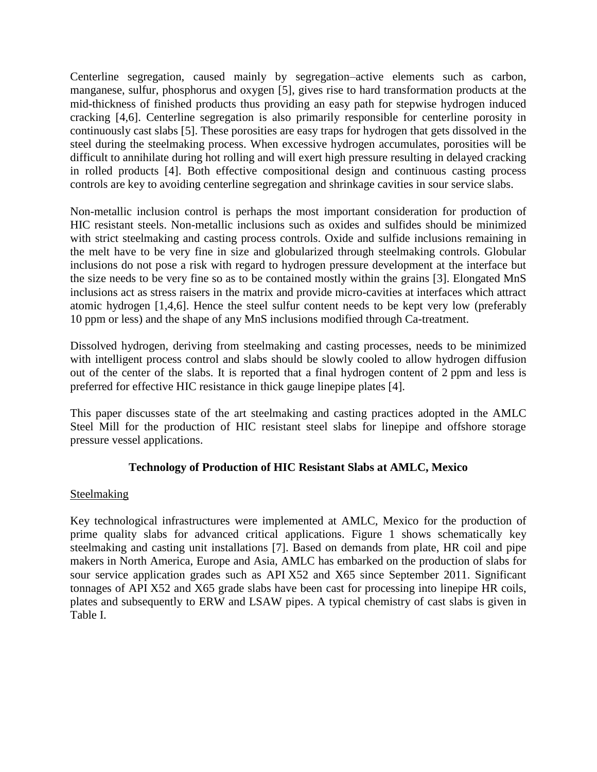Centerline segregation, caused mainly by segregation–active elements such as carbon, manganese, sulfur, phosphorus and oxygen [5], gives rise to hard transformation products at the mid-thickness of finished products thus providing an easy path for stepwise hydrogen induced cracking [4,6]. Centerline segregation is also primarily responsible for centerline porosity in continuously cast slabs [5]. These porosities are easy traps for hydrogen that gets dissolved in the steel during the steelmaking process. When excessive hydrogen accumulates, porosities will be difficult to annihilate during hot rolling and will exert high pressure resulting in delayed cracking in rolled products [4]. Both effective compositional design and continuous casting process controls are key to avoiding centerline segregation and shrinkage cavities in sour service slabs.

Non-metallic inclusion control is perhaps the most important consideration for production of HIC resistant steels. Non-metallic inclusions such as oxides and sulfides should be minimized with strict steelmaking and casting process controls. Oxide and sulfide inclusions remaining in the melt have to be very fine in size and globularized through steelmaking controls. Globular inclusions do not pose a risk with regard to hydrogen pressure development at the interface but the size needs to be very fine so as to be contained mostly within the grains [3]. Elongated MnS inclusions act as stress raisers in the matrix and provide micro-cavities at interfaces which attract atomic hydrogen [1,4,6]. Hence the steel sulfur content needs to be kept very low (preferably 10 ppm or less) and the shape of any MnS inclusions modified through Ca-treatment.

Dissolved hydrogen, deriving from steelmaking and casting processes, needs to be minimized with intelligent process control and slabs should be slowly cooled to allow hydrogen diffusion out of the center of the slabs. It is reported that a final hydrogen content of 2 ppm and less is preferred for effective HIC resistance in thick gauge linepipe plates [4].

This paper discusses state of the art steelmaking and casting practices adopted in the AMLC Steel Mill for the production of HIC resistant steel slabs for linepipe and offshore storage pressure vessel applications.

# **Technology of Production of HIC Resistant Slabs at AMLC, Mexico**

# Steelmaking

Key technological infrastructures were implemented at AMLC, Mexico for the production of prime quality slabs for advanced critical applications. Figure 1 shows schematically key steelmaking and casting unit installations [7]. Based on demands from plate, HR coil and pipe makers in North America, Europe and Asia, AMLC has embarked on the production of slabs for sour service application grades such as API X52 and X65 since September 2011. Significant tonnages of API X52 and X65 grade slabs have been cast for processing into linepipe HR coils, plates and subsequently to ERW and LSAW pipes. A typical chemistry of cast slabs is given in Table I.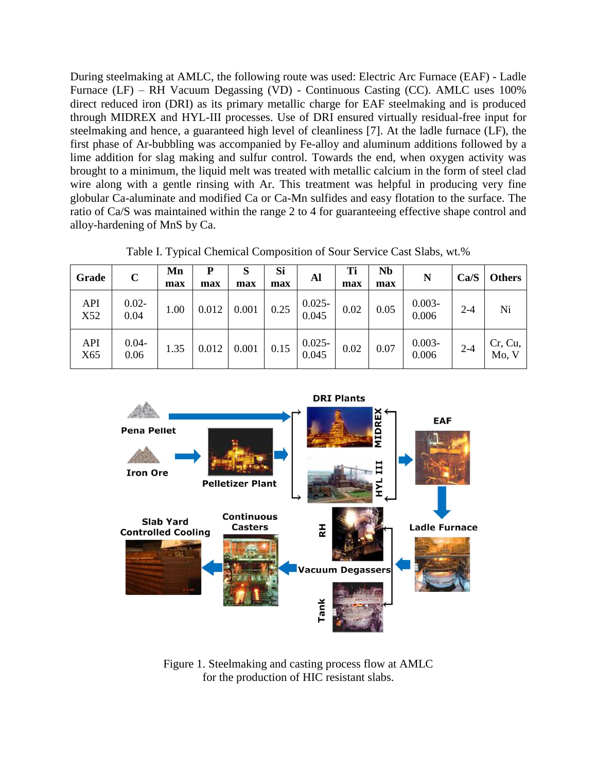During steelmaking at AMLC, the following route was used: Electric Arc Furnace (EAF) - Ladle Furnace (LF) – RH Vacuum Degassing (VD) - Continuous Casting (CC). AMLC uses 100% direct reduced iron (DRI) as its primary metallic charge for EAF steelmaking and is produced through MIDREX and HYL-III processes. Use of DRI ensured virtually residual-free input for steelmaking and hence, a guaranteed high level of cleanliness [7]. At the ladle furnace (LF), the first phase of Ar-bubbling was accompanied by Fe-alloy and aluminum additions followed by a lime addition for slag making and sulfur control. Towards the end, when oxygen activity was brought to a minimum, the liquid melt was treated with metallic calcium in the form of steel clad wire along with a gentle rinsing with Ar. This treatment was helpful in producing very fine globular Ca-aluminate and modified Ca or Ca-Mn sulfides and easy flotation to the surface. The ratio of Ca/S was maintained within the range 2 to 4 for guaranteeing effective shape control and alloy-hardening of MnS by Ca.

| Grade             | $\mathbf C$      | Mn<br>max | P<br>max | S<br>max | Si<br>max | Al                 | Ti<br>max | Nb<br>max | N                  | Ca/S    | <b>Others</b>    |
|-------------------|------------------|-----------|----------|----------|-----------|--------------------|-----------|-----------|--------------------|---------|------------------|
| <b>API</b><br>X52 | $0.02 -$<br>0.04 | 1.00      | 0.012    | 0.001    | 0.25      | $0.025 -$<br>0.045 | 0.02      | 0.05      | $0.003 -$<br>0.006 | 2-4     | Ni               |
| API<br>X65        | $0.04 -$<br>0.06 | 1.35      | 0.012    | 0.001    | 0.15      | $0.025 -$<br>0.045 | 0.02      | 0.07      | $0.003 -$<br>0.006 | $2 - 4$ | Cr, Cu,<br>Mo, V |

Table I. Typical Chemical Composition of Sour Service Cast Slabs, wt.%



Figure 1. Steelmaking and casting process flow at AMLC for the production of HIC resistant slabs.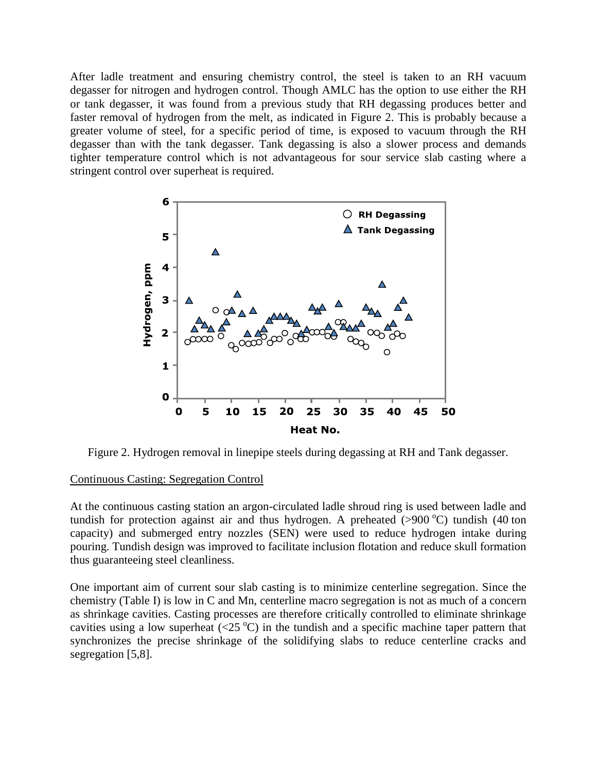After ladle treatment and ensuring chemistry control, the steel is taken to an RH vacuum degasser for nitrogen and hydrogen control. Though AMLC has the option to use either the RH or tank degasser, it was found from a previous study that RH degassing produces better and faster removal of hydrogen from the melt, as indicated in Figure 2. This is probably because a greater volume of steel, for a specific period of time, is exposed to vacuum through the RH degasser than with the tank degasser. Tank degassing is also a slower process and demands tighter temperature control which is not advantageous for sour service slab casting where a stringent control over superheat is required.



Figure 2. Hydrogen removal in linepipe steels during degassing at RH and Tank degasser.

## Continuous Casting: Segregation Control

At the continuous casting station an argon-circulated ladle shroud ring is used between ladle and tundish for protection against air and thus hydrogen. A preheated ( $>900\text{ °C}$ ) tundish (40 ton capacity) and submerged entry nozzles (SEN) were used to reduce hydrogen intake during pouring. Tundish design was improved to facilitate inclusion flotation and reduce skull formation thus guaranteeing steel cleanliness.

One important aim of current sour slab casting is to minimize centerline segregation. Since the chemistry (Table I) is low in C and Mn, centerline macro segregation is not as much of a concern as shrinkage cavities. Casting processes are therefore critically controlled to eliminate shrinkage cavities using a low superheat  $(\langle 25 \degree C \rangle)$  in the tundish and a specific machine taper pattern that synchronizes the precise shrinkage of the solidifying slabs to reduce centerline cracks and segregation [5,8].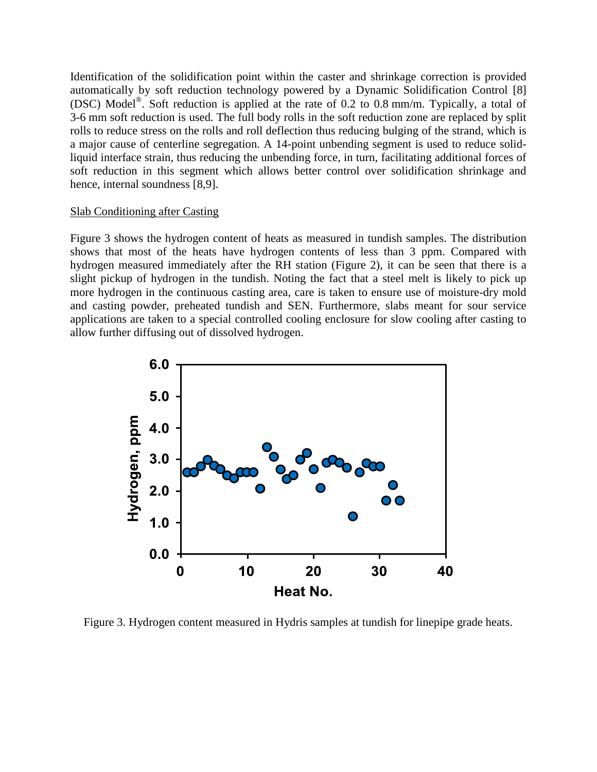Identification of the solidification point within the caster and shrinkage correction is provided automatically by soft reduction technology powered by a Dynamic Solidification Control [8] (DSC) Model® . Soft reduction is applied at the rate of 0.2 to 0.8 mm/m. Typically, a total of 3-6 mm soft reduction is used. The full body rolls in the soft reduction zone are replaced by split rolls to reduce stress on the rolls and roll deflection thus reducing bulging of the strand, which is a major cause of centerline segregation. A 14-point unbending segment is used to reduce solidliquid interface strain, thus reducing the unbending force, in turn, facilitating additional forces of soft reduction in this segment which allows better control over solidification shrinkage and hence, internal soundness [8,9].

### Slab Conditioning after Casting

Figure 3 shows the hydrogen content of heats as measured in tundish samples. The distribution shows that most of the heats have hydrogen contents of less than 3 ppm. Compared with hydrogen measured immediately after the RH station (Figure 2), it can be seen that there is a slight pickup of hydrogen in the tundish. Noting the fact that a steel melt is likely to pick up more hydrogen in the continuous casting area, care is taken to ensure use of moisture-dry mold and casting powder, preheated tundish and SEN. Furthermore, slabs meant for sour service applications are taken to a special controlled cooling enclosure for slow cooling after casting to allow further diffusing out of dissolved hydrogen.



Figure 3. Hydrogen content measured in Hydris samples at tundish for linepipe grade heats.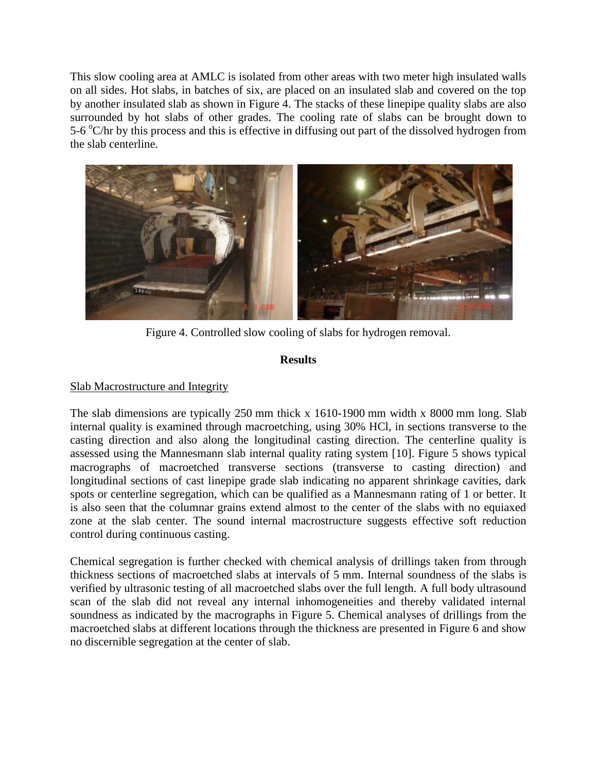This slow cooling area at AMLC is isolated from other areas with two meter high insulated walls on all sides. Hot slabs, in batches of six, are placed on an insulated slab and covered on the top by another insulated slab as shown in Figure 4. The stacks of these linepipe quality slabs are also surrounded by hot slabs of other grades. The cooling rate of slabs can be brought down to 5-6 °C/hr by this process and this is effective in diffusing out part of the dissolved hydrogen from the slab centerline.



Figure 4. Controlled slow cooling of slabs for hydrogen removal.

# **Results**

# Slab Macrostructure and Integrity

The slab dimensions are typically 250 mm thick x 1610-1900 mm width x 8000 mm long. Slab internal quality is examined through macroetching, using 30% HCl, in sections transverse to the casting direction and also along the longitudinal casting direction. The centerline quality is assessed using the Mannesmann slab internal quality rating system [10]. Figure 5 shows typical macrographs of macroetched transverse sections (transverse to casting direction) and longitudinal sections of cast linepipe grade slab indicating no apparent shrinkage cavities, dark spots or centerline segregation, which can be qualified as a Mannesmann rating of 1 or better. It is also seen that the columnar grains extend almost to the center of the slabs with no equiaxed zone at the slab center. The sound internal macrostructure suggests effective soft reduction control during continuous casting.

Chemical segregation is further checked with chemical analysis of drillings taken from through thickness sections of macroetched slabs at intervals of 5 mm. Internal soundness of the slabs is verified by ultrasonic testing of all macroetched slabs over the full length. A full body ultrasound scan of the slab did not reveal any internal inhomogeneities and thereby validated internal soundness as indicated by the macrographs in Figure 5. Chemical analyses of drillings from the macroetched slabs at different locations through the thickness are presented in Figure 6 and show no discernible segregation at the center of slab.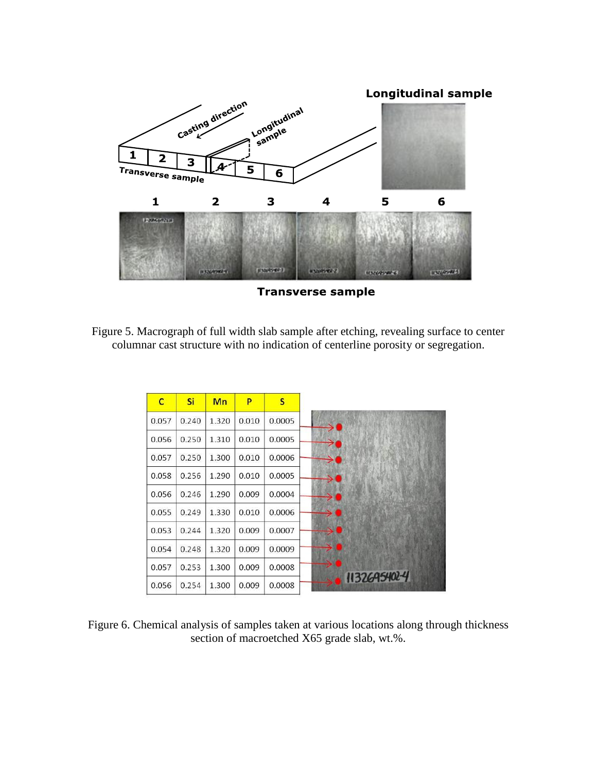

Figure 5. Macrograph of full width slab sample after etching, revealing surface to center columnar cast structure with no indication of centerline porosity or segregation.

| $\mathbf C$ | Si    | Mn    | P     | S      |
|-------------|-------|-------|-------|--------|
| 0.057       | 0.240 | 1.320 | 0.010 | 0.0005 |
| 0.056       | 0.250 | 1.310 | 0.010 | 0.0005 |
| 0.057       | 0.250 | 1.300 | 0.010 | 0.0006 |
| 0.058       | 0.256 | 1.290 | 0.010 | 0.0005 |
| 0.056       | 0.246 | 1.290 | 0.009 | 0.0004 |
| 0.055       | 0.249 | 1.330 | 0.010 | 0.0006 |
| 0.053       | 0.244 | 1.320 | 0.009 | 0.0007 |
| 0.054       | 0.248 | 1.320 | 0.009 | 0.0009 |
| 0.057       | 0.253 | 1.300 | 0.009 | 0.0008 |
| 0.056       | 0.254 | 1.300 | 0.009 | 0.0008 |

Figure 6. Chemical analysis of samples taken at various locations along through thickness section of macroetched X65 grade slab, wt.%.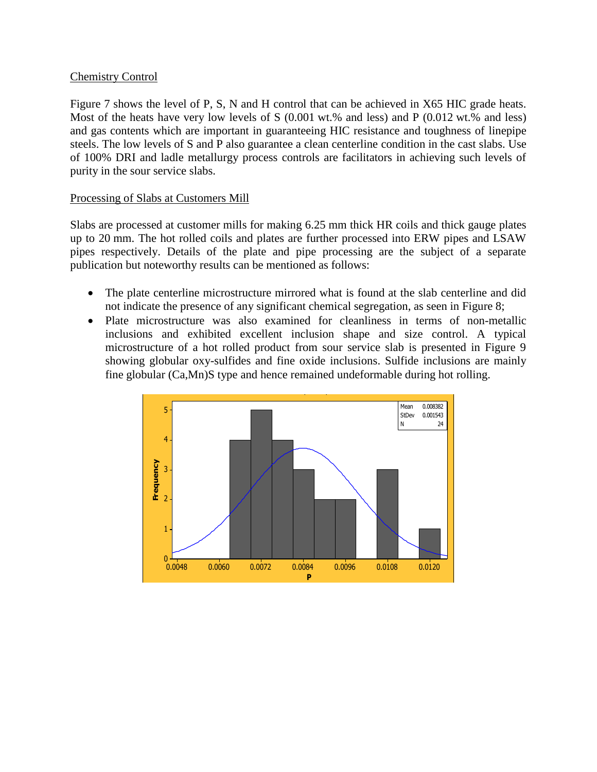## Chemistry Control

Figure 7 shows the level of P, S, N and H control that can be achieved in X65 HIC grade heats. Most of the heats have very low levels of S (0.001 wt.% and less) and P (0.012 wt.% and less) and gas contents which are important in guaranteeing HIC resistance and toughness of linepipe steels. The low levels of S and P also guarantee a clean centerline condition in the cast slabs. Use of 100% DRI and ladle metallurgy process controls are facilitators in achieving such levels of purity in the sour service slabs.

## Processing of Slabs at Customers Mill

Slabs are processed at customer mills for making 6.25 mm thick HR coils and thick gauge plates up to 20 mm. The hot rolled coils and plates are further processed into ERW pipes and LSAW pipes respectively. Details of the plate and pipe processing are the subject of a separate publication but noteworthy results can be mentioned as follows:

- The plate centerline microstructure mirrored what is found at the slab centerline and did not indicate the presence of any significant chemical segregation, as seen in Figure 8;
- Plate microstructure was also examined for cleanliness in terms of non-metallic inclusions and exhibited excellent inclusion shape and size control. A typical microstructure of a hot rolled product from sour service slab is presented in Figure 9 showing globular oxy-sulfides and fine oxide inclusions. Sulfide inclusions are mainly fine globular (Ca,Mn)S type and hence remained undeformable during hot rolling.  $\sum_{i=1}^n$

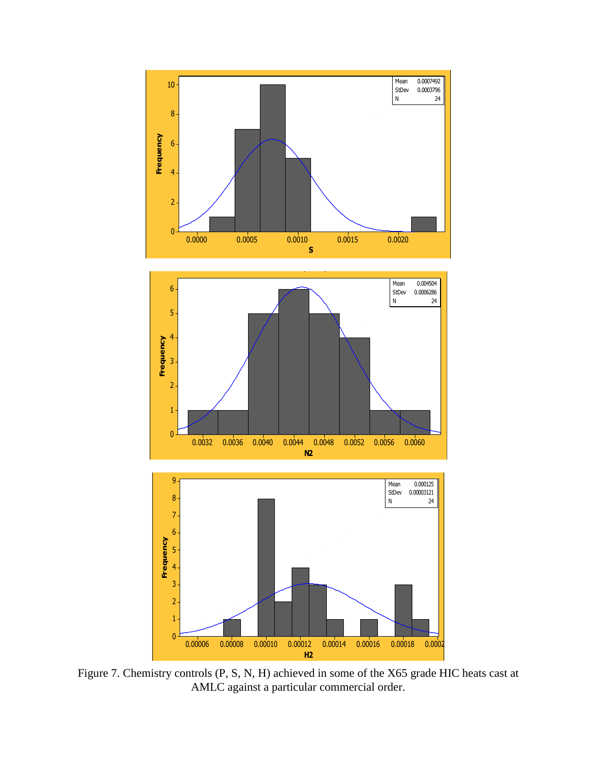

Figure 7. Chemistry controls (P, S, N, H) achieved in some of the X65 grade HIC heats cast at AMLC against a particular commercial order.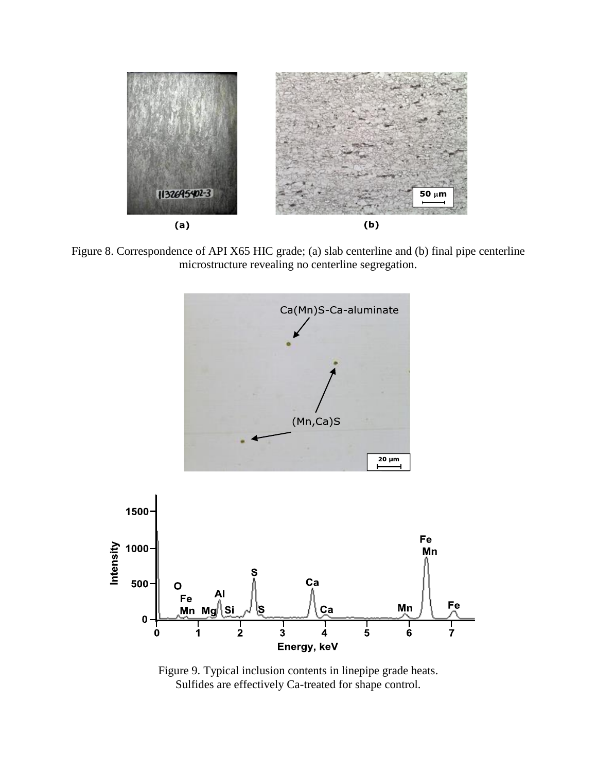

Figure 8. Correspondence of API X65 HIC grade; (a) slab centerline and (b) final pipe centerline microstructure revealing no centerline segregation.



Figure 9. Typical inclusion contents in linepipe grade heats. Sulfides are effectively Ca-treated for shape control.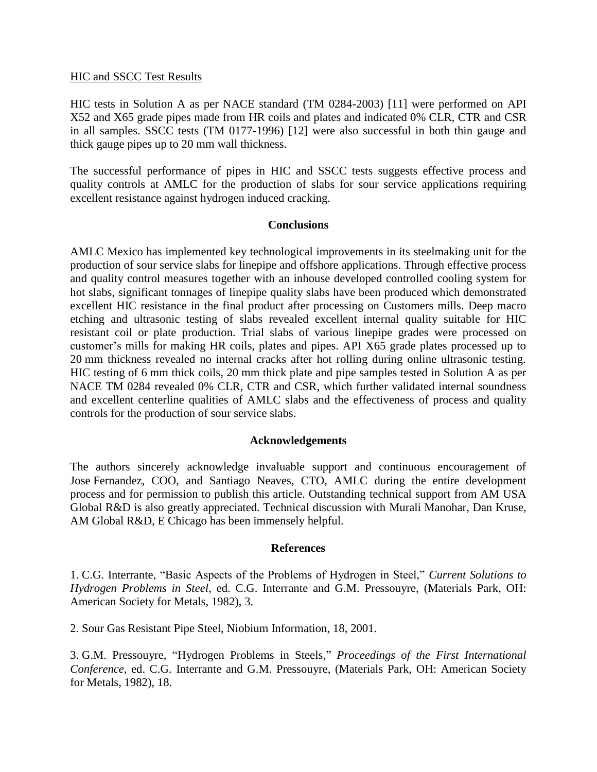#### HIC and SSCC Test Results

HIC tests in Solution A as per NACE standard (TM 0284-2003) [11] were performed on API X52 and X65 grade pipes made from HR coils and plates and indicated 0% CLR, CTR and CSR in all samples. SSCC tests (TM 0177-1996) [12] were also successful in both thin gauge and thick gauge pipes up to 20 mm wall thickness.

The successful performance of pipes in HIC and SSCC tests suggests effective process and quality controls at AMLC for the production of slabs for sour service applications requiring excellent resistance against hydrogen induced cracking.

## **Conclusions**

AMLC Mexico has implemented key technological improvements in its steelmaking unit for the production of sour service slabs for linepipe and offshore applications. Through effective process and quality control measures together with an inhouse developed controlled cooling system for hot slabs, significant tonnages of linepipe quality slabs have been produced which demonstrated excellent HIC resistance in the final product after processing on Customers mills. Deep macro etching and ultrasonic testing of slabs revealed excellent internal quality suitable for HIC resistant coil or plate production. Trial slabs of various linepipe grades were processed on customer's mills for making HR coils, plates and pipes. API X65 grade plates processed up to 20 mm thickness revealed no internal cracks after hot rolling during online ultrasonic testing. HIC testing of 6 mm thick coils, 20 mm thick plate and pipe samples tested in Solution A as per NACE TM 0284 revealed 0% CLR, CTR and CSR, which further validated internal soundness and excellent centerline qualities of AMLC slabs and the effectiveness of process and quality controls for the production of sour service slabs.

#### **Acknowledgements**

The authors sincerely acknowledge invaluable support and continuous encouragement of Jose Fernandez, COO, and Santiago Neaves, CTO, AMLC during the entire development process and for permission to publish this article. Outstanding technical support from AM USA Global R&D is also greatly appreciated. Technical discussion with Murali Manohar, Dan Kruse, AM Global R&D, E Chicago has been immensely helpful.

#### **References**

1. C.G. Interrante, "Basic Aspects of the Problems of Hydrogen in Steel," *Current Solutions to Hydrogen Problems in Steel*, ed. C.G. Interrante and G.M. Pressouyre, (Materials Park, OH: American Society for Metals, 1982), 3.

2. Sour Gas Resistant Pipe Steel, Niobium Information, 18, 2001.

3. G.M. Pressouyre, "Hydrogen Problems in Steels," *Proceedings of the First International Conference*, ed. C.G. Interrante and G.M. Pressouyre, (Materials Park, OH: American Society for Metals, 1982), 18.